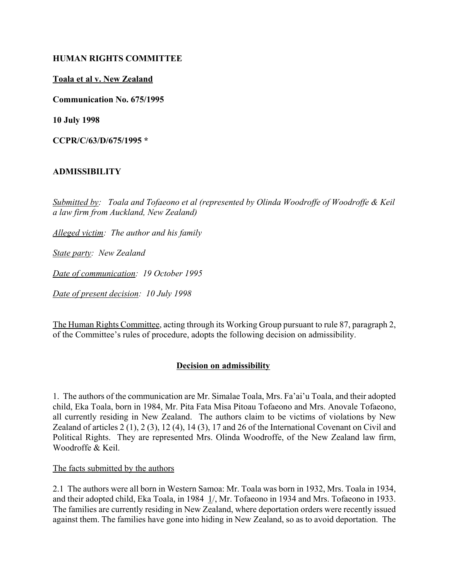## **HUMAN RIGHTS COMMITTEE**

## **Toala et al v. New Zealand**

**Communication No. 675/1995**

**10 July 1998**

**CCPR/C/63/D/675/1995 \***

# **ADMISSIBILITY**

*Submitted by: Toala and Tofaeono et al (represented by Olinda Woodroffe of Woodroffe & Keil a law firm from Auckland, New Zealand)*

*Alleged victim: The author and his family*

*State party: New Zealand*

*Date of communication: 19 October 1995* 

*Date of present decision: 10 July 1998*

The Human Rights Committee, acting through its Working Group pursuant to rule 87, paragraph 2, of the Committee's rules of procedure, adopts the following decision on admissibility.

#### **Decision on admissibility**

1. The authors of the communication are Mr. Simalae Toala, Mrs. Faíaiíu Toala, and their adopted child, Eka Toala, born in 1984, Mr. Pita Fata Misa Pitoau Tofaeono and Mrs. Anovale Tofaeono, all currently residing in New Zealand. The authors claim to be victims of violations by New Zealand of articles 2 (1), 2 (3), 12 (4), 14 (3), 17 and 26 of the International Covenant on Civil and Political Rights. They are represented Mrs. Olinda Woodroffe, of the New Zealand law firm, Woodroffe & Keil.

The facts submitted by the authors

2.1 The authors were all born in Western Samoa: Mr. Toala was born in 1932, Mrs. Toala in 1934, and their adopted child, Eka Toala, in 1984 1/, Mr. Tofaeono in 1934 and Mrs. Tofaeono in 1933. The families are currently residing in New Zealand, where deportation orders were recently issued against them. The families have gone into hiding in New Zealand, so as to avoid deportation. The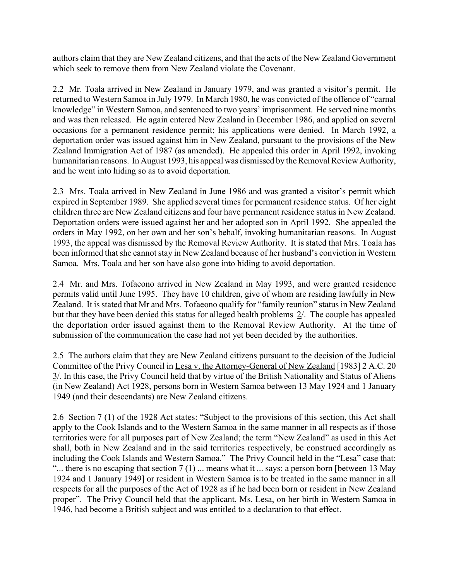authors claim that they are New Zealand citizens, and that the acts of the New Zealand Government which seek to remove them from New Zealand violate the Covenant.

2.2 Mr. Toala arrived in New Zealand in January 1979, and was granted a visitor's permit. He returned to Western Samoa in July 1979. In March 1980, he was convicted of the offence of "carnal knowledge" in Western Samoa, and sentenced to two years' imprisonment. He served nine months and was then released. He again entered New Zealand in December 1986, and applied on several occasions for a permanent residence permit; his applications were denied. In March 1992, a deportation order was issued against him in New Zealand, pursuant to the provisions of the New Zealand Immigration Act of 1987 (as amended). He appealed this order in April 1992, invoking humanitarian reasons. In August 1993, his appeal was dismissed by the Removal Review Authority, and he went into hiding so as to avoid deportation.

2.3 Mrs. Toala arrived in New Zealand in June 1986 and was granted a visitor's permit which expired in September 1989. She applied several times for permanent residence status. Of her eight children three are New Zealand citizens and four have permanent residence status in New Zealand. Deportation orders were issued against her and her adopted son in April 1992. She appealed the orders in May 1992, on her own and her son's behalf, invoking humanitarian reasons. In August 1993, the appeal was dismissed by the Removal Review Authority. It is stated that Mrs. Toala has been informed that she cannot stay in New Zealand because of her husband's conviction in Western Samoa. Mrs. Toala and her son have also gone into hiding to avoid deportation.

2.4 Mr. and Mrs. Tofaeono arrived in New Zealand in May 1993, and were granted residence permits valid until June 1995. They have 10 children, give of whom are residing lawfully in New Zealand. It is stated that Mr and Mrs. Tofaeono qualify for "family reunion" status in New Zealand but that they have been denied this status for alleged health problems 2/. The couple has appealed the deportation order issued against them to the Removal Review Authority. At the time of submission of the communication the case had not yet been decided by the authorities.

2.5 The authors claim that they are New Zealand citizens pursuant to the decision of the Judicial Committee of the Privy Council in Lesa v. the Attorney-General of New Zealand [1983] 2 A.C. 20 3/. In this case, the Privy Council held that by virtue of the British Nationality and Status of Aliens (in New Zealand) Act 1928, persons born in Western Samoa between 13 May 1924 and 1 January 1949 (and their descendants) are New Zealand citizens.

2.6 Section 7 (1) of the 1928 Act states: "Subject to the provisions of this section, this Act shall apply to the Cook Islands and to the Western Samoa in the same manner in all respects as if those territories were for all purposes part of New Zealand; the term "New Zealand" as used in this Act shall, both in New Zealand and in the said territories respectively, be construed accordingly as including the Cook Islands and Western Samoa." The Privy Council held in the "Lesa" case that: "... there is no escaping that section  $7(1)$  ... means what it ... says: a person born [between 13 May 1924 and 1 January 1949] or resident in Western Samoa is to be treated in the same manner in all respects for all the purposes of the Act of 1928 as if he had been born or resident in New Zealand properî. The Privy Council held that the applicant, Ms. Lesa, on her birth in Western Samoa in 1946, had become a British subject and was entitled to a declaration to that effect.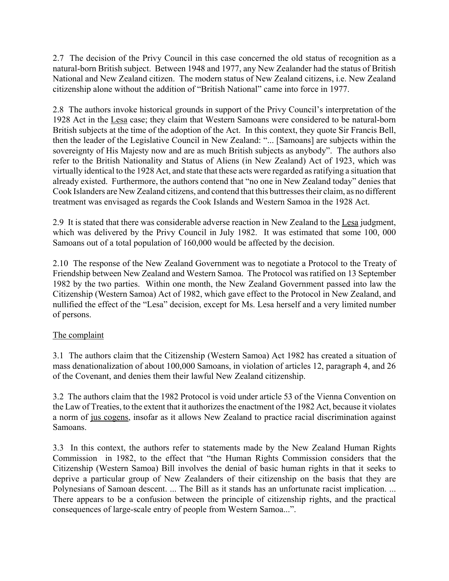2.7 The decision of the Privy Council in this case concerned the old status of recognition as a natural-born British subject. Between 1948 and 1977, any New Zealander had the status of British National and New Zealand citizen. The modern status of New Zealand citizens, i.e. New Zealand citizenship alone without the addition of "British National" came into force in 1977.

2.8 The authors invoke historical grounds in support of the Privy Council's interpretation of the 1928 Act in the Lesa case; they claim that Western Samoans were considered to be natural-born British subjects at the time of the adoption of the Act. In this context, they quote Sir Francis Bell, then the leader of the Legislative Council in New Zealand: "... [Samoans] are subjects within the sovereignty of His Majesty now and are as much British subjects as anybody". The authors also refer to the British Nationality and Status of Aliens (in New Zealand) Act of 1923, which was virtually identical to the 1928 Act, and state that these acts were regarded as ratifying a situation that already existed. Furthermore, the authors contend that "no one in New Zealand today" denies that Cook Islanders are New Zealand citizens, and contend that this buttresses their claim, as no different treatment was envisaged as regards the Cook Islands and Western Samoa in the 1928 Act.

2.9 It is stated that there was considerable adverse reaction in New Zealand to the Lesa judgment, which was delivered by the Privy Council in July 1982. It was estimated that some 100, 000 Samoans out of a total population of 160,000 would be affected by the decision.

2.10 The response of the New Zealand Government was to negotiate a Protocol to the Treaty of Friendship between New Zealand and Western Samoa. The Protocol was ratified on 13 September 1982 by the two parties. Within one month, the New Zealand Government passed into law the Citizenship (Western Samoa) Act of 1982, which gave effect to the Protocol in New Zealand, and nullified the effect of the "Lesa" decision, except for Ms. Lesa herself and a very limited number of persons.

# The complaint

3.1 The authors claim that the Citizenship (Western Samoa) Act 1982 has created a situation of mass denationalization of about 100,000 Samoans, in violation of articles 12, paragraph 4, and 26 of the Covenant, and denies them their lawful New Zealand citizenship.

3.2 The authors claim that the 1982 Protocol is void under article 53 of the Vienna Convention on the Law of Treaties, to the extent that it authorizes the enactment of the 1982 Act, because it violates a norm of jus cogens, insofar as it allows New Zealand to practice racial discrimination against Samoans.

3.3 In this context, the authors refer to statements made by the New Zealand Human Rights Commission in 1982, to the effect that "the Human Rights Commission considers that the Citizenship (Western Samoa) Bill involves the denial of basic human rights in that it seeks to deprive a particular group of New Zealanders of their citizenship on the basis that they are Polynesians of Samoan descent. ... The Bill as it stands has an unfortunate racist implication. ... There appears to be a confusion between the principle of citizenship rights, and the practical consequences of large-scale entry of people from Western Samoa...".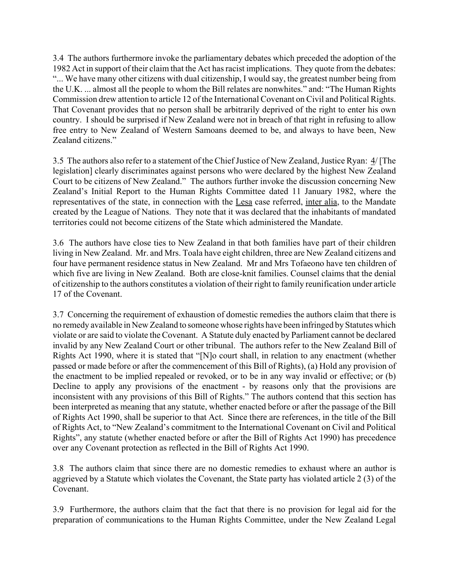3.4 The authors furthermore invoke the parliamentary debates which preceded the adoption of the 1982 Act in support of their claim that the Act has racist implications. They quote from the debates: ì... We have many other citizens with dual citizenship, I would say, the greatest number being from the U.K. ... almost all the people to whom the Bill relates are nonwhites." and: "The Human Rights Commission drew attention to article 12 of the International Covenant on Civil and Political Rights. That Covenant provides that no person shall be arbitrarily deprived of the right to enter his own country. I should be surprised if New Zealand were not in breach of that right in refusing to allow free entry to New Zealand of Western Samoans deemed to be, and always to have been, New Zealand citizens."

3.5 The authors also refer to a statement of the Chief Justice of New Zealand, Justice Ryan: 4/ [The legislation] clearly discriminates against persons who were declared by the highest New Zealand Court to be citizens of New Zealand." The authors further invoke the discussion concerning New Zealand's Initial Report to the Human Rights Committee dated 11 January 1982, where the representatives of the state, in connection with the Lesa case referred, inter alia, to the Mandate created by the League of Nations. They note that it was declared that the inhabitants of mandated territories could not become citizens of the State which administered the Mandate.

3.6 The authors have close ties to New Zealand in that both families have part of their children living in New Zealand. Mr. and Mrs. Toala have eight children, three are New Zealand citizens and four have permanent residence status in New Zealand. Mr and Mrs Tofaeono have ten children of which five are living in New Zealand. Both are close-knit families. Counsel claims that the denial of citizenship to the authors constitutes a violation of their right to family reunification under article 17 of the Covenant.

3.7 Concerning the requirement of exhaustion of domestic remedies the authors claim that there is no remedy available in New Zealand to someone whose rights have been infringed by Statutes which violate or are said to violate the Covenant. A Statute duly enacted by Parliament cannot be declared invalid by any New Zealand Court or other tribunal. The authors refer to the New Zealand Bill of Rights Act 1990, where it is stated that "[N]o court shall, in relation to any enactment (whether passed or made before or after the commencement of this Bill of Rights), (a) Hold any provision of the enactment to be implied repealed or revoked, or to be in any way invalid or effective; or (b) Decline to apply any provisions of the enactment - by reasons only that the provisions are inconsistent with any provisions of this Bill of Rights." The authors contend that this section has been interpreted as meaning that any statute, whether enacted before or after the passage of the Bill of Rights Act 1990, shall be superior to that Act. Since there are references, in the title of the Bill of Rights Act, to "New Zealand's commitment to the International Covenant on Civil and Political Rights", any statute (whether enacted before or after the Bill of Rights Act 1990) has precedence over any Covenant protection as reflected in the Bill of Rights Act 1990.

3.8 The authors claim that since there are no domestic remedies to exhaust where an author is aggrieved by a Statute which violates the Covenant, the State party has violated article 2 (3) of the Covenant.

3.9 Furthermore, the authors claim that the fact that there is no provision for legal aid for the preparation of communications to the Human Rights Committee, under the New Zealand Legal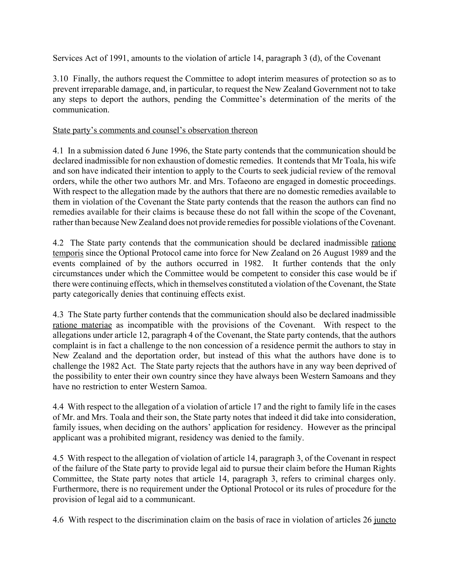Services Act of 1991, amounts to the violation of article 14, paragraph 3 (d), of the Covenant

3.10 Finally, the authors request the Committee to adopt interim measures of protection so as to prevent irreparable damage, and, in particular, to request the New Zealand Government not to take any steps to deport the authors, pending the Committee's determination of the merits of the communication.

## State party's comments and counsel's observation thereon

4.1 In a submission dated 6 June 1996, the State party contends that the communication should be declared inadmissible for non exhaustion of domestic remedies. It contends that Mr Toala, his wife and son have indicated their intention to apply to the Courts to seek judicial review of the removal orders, while the other two authors Mr. and Mrs. Tofaeono are engaged in domestic proceedings. With respect to the allegation made by the authors that there are no domestic remedies available to them in violation of the Covenant the State party contends that the reason the authors can find no remedies available for their claims is because these do not fall within the scope of the Covenant, rather than because New Zealand does not provide remedies for possible violations of the Covenant.

4.2 The State party contends that the communication should be declared inadmissible ratione temporis since the Optional Protocol came into force for New Zealand on 26 August 1989 and the events complained of by the authors occurred in 1982. It further contends that the only circumstances under which the Committee would be competent to consider this case would be if there were continuing effects, which in themselves constituted a violation of the Covenant, the State party categorically denies that continuing effects exist.

4.3 The State party further contends that the communication should also be declared inadmissible ratione materiae as incompatible with the provisions of the Covenant. With respect to the allegations under article 12, paragraph 4 of the Covenant, the State party contends, that the authors complaint is in fact a challenge to the non concession of a residence permit the authors to stay in New Zealand and the deportation order, but instead of this what the authors have done is to challenge the 1982 Act. The State party rejects that the authors have in any way been deprived of the possibility to enter their own country since they have always been Western Samoans and they have no restriction to enter Western Samoa.

4.4 With respect to the allegation of a violation of article 17 and the right to family life in the cases of Mr. and Mrs. Toala and their son, the State party notes that indeed it did take into consideration, family issues, when deciding on the authors' application for residency. However as the principal applicant was a prohibited migrant, residency was denied to the family.

4.5 With respect to the allegation of violation of article 14, paragraph 3, of the Covenant in respect of the failure of the State party to provide legal aid to pursue their claim before the Human Rights Committee, the State party notes that article 14, paragraph 3, refers to criminal charges only. Furthermore, there is no requirement under the Optional Protocol or its rules of procedure for the provision of legal aid to a communicant.

4.6 With respect to the discrimination claim on the basis of race in violation of articles 26 juncto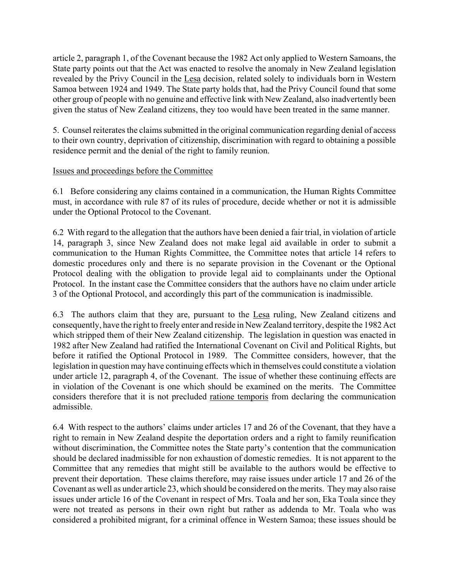article 2, paragraph 1, of the Covenant because the 1982 Act only applied to Western Samoans, the State party points out that the Act was enacted to resolve the anomaly in New Zealand legislation revealed by the Privy Council in the Lesa decision, related solely to individuals born in Western Samoa between 1924 and 1949. The State party holds that, had the Privy Council found that some other group of people with no genuine and effective link with New Zealand, also inadvertently been given the status of New Zealand citizens, they too would have been treated in the same manner.

5. Counsel reiterates the claims submitted in the original communication regarding denial of access to their own country, deprivation of citizenship, discrimination with regard to obtaining a possible residence permit and the denial of the right to family reunion.

# Issues and proceedings before the Committee

6.1 Before considering any claims contained in a communication, the Human Rights Committee must, in accordance with rule 87 of its rules of procedure, decide whether or not it is admissible under the Optional Protocol to the Covenant.

6.2 With regard to the allegation that the authors have been denied a fair trial, in violation of article 14, paragraph 3, since New Zealand does not make legal aid available in order to submit a communication to the Human Rights Committee, the Committee notes that article 14 refers to domestic procedures only and there is no separate provision in the Covenant or the Optional Protocol dealing with the obligation to provide legal aid to complainants under the Optional Protocol. In the instant case the Committee considers that the authors have no claim under article 3 of the Optional Protocol, and accordingly this part of the communication is inadmissible.

6.3 The authors claim that they are, pursuant to the Lesa ruling, New Zealand citizens and consequently, have the right to freely enter and reside in New Zealand territory, despite the 1982 Act which stripped them of their New Zealand citizenship. The legislation in question was enacted in 1982 after New Zealand had ratified the International Covenant on Civil and Political Rights, but before it ratified the Optional Protocol in 1989. The Committee considers, however, that the legislation in question may have continuing effects which in themselves could constitute a violation under article 12, paragraph 4, of the Covenant. The issue of whether these continuing effects are in violation of the Covenant is one which should be examined on the merits. The Committee considers therefore that it is not precluded ratione temporis from declaring the communication admissible.

6.4 With respect to the authors' claims under articles 17 and 26 of the Covenant, that they have a right to remain in New Zealand despite the deportation orders and a right to family reunification without discrimination, the Committee notes the State party's contention that the communication should be declared inadmissible for non exhaustion of domestic remedies. It is not apparent to the Committee that any remedies that might still be available to the authors would be effective to prevent their deportation. These claims therefore, may raise issues under article 17 and 26 of the Covenant as well as under article 23, which should be considered on the merits. They may also raise issues under article 16 of the Covenant in respect of Mrs. Toala and her son, Eka Toala since they were not treated as persons in their own right but rather as addenda to Mr. Toala who was considered a prohibited migrant, for a criminal offence in Western Samoa; these issues should be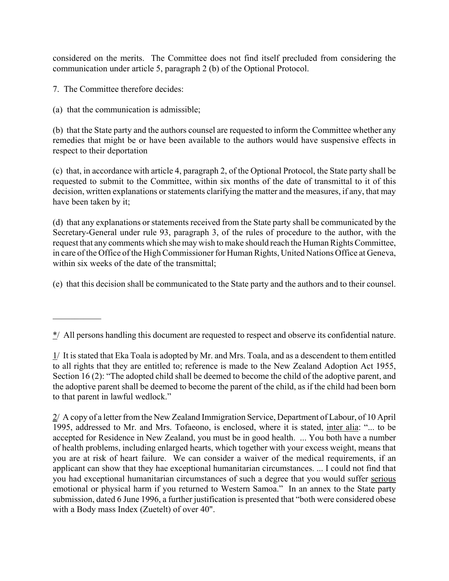considered on the merits. The Committee does not find itself precluded from considering the communication under article 5, paragraph 2 (b) of the Optional Protocol.

7. The Committee therefore decides:

 $\mathcal{L}_\text{max}$ 

(a) that the communication is admissible;

(b) that the State party and the authors counsel are requested to inform the Committee whether any remedies that might be or have been available to the authors would have suspensive effects in respect to their deportation

(c) that, in accordance with article 4, paragraph 2, of the Optional Protocol, the State party shall be requested to submit to the Committee, within six months of the date of transmittal to it of this decision, written explanations or statements clarifying the matter and the measures, if any, that may have been taken by it;

(d) that any explanations or statements received from the State party shall be communicated by the Secretary-General under rule 93, paragraph 3, of the rules of procedure to the author, with the request that any comments which she may wish to make should reach the Human Rights Committee, in care of the Office of the High Commissioner for Human Rights, United Nations Office at Geneva, within six weeks of the date of the transmittal:

(e) that this decision shall be communicated to the State party and the authors and to their counsel.

 $\frac{*}{4}$  All persons handling this document are requested to respect and observe its confidential nature.

1/ It is stated that Eka Toala is adopted by Mr. and Mrs. Toala, and as a descendent to them entitled to all rights that they are entitled to; reference is made to the New Zealand Adoption Act 1955, Section 16 (2): "The adopted child shall be deemed to become the child of the adoptive parent, and the adoptive parent shall be deemed to become the parent of the child, as if the child had been born to that parent in lawful wedlock."

2/ A copy of a letter from the New Zealand Immigration Service, Department of Labour, of 10 April 1995, addressed to Mr. and Mrs. Tofaeono, is enclosed, where it is stated, inter alia: "... to be accepted for Residence in New Zealand, you must be in good health. ... You both have a number of health problems, including enlarged hearts, which together with your excess weight, means that you are at risk of heart failure. We can consider a waiver of the medical requirements, if an applicant can show that they hae exceptional humanitarian circumstances. ... I could not find that you had exceptional humanitarian circumstances of such a degree that you would suffer serious emotional or physical harm if you returned to Western Samoa." In an annex to the State party submission, dated 6 June 1996, a further justification is presented that "both were considered obese with a Body mass Index (Zuetelt) of over 40".